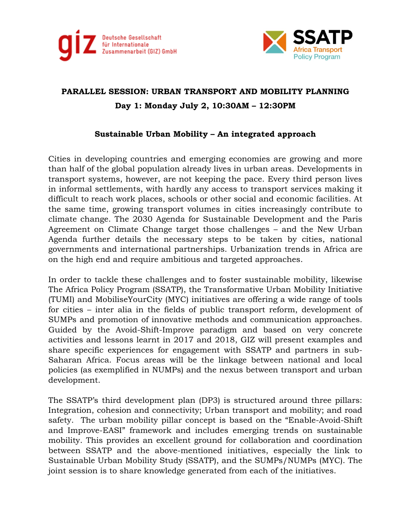



## **PARALLEL SESSION: URBAN TRANSPORT AND MOBILITY PLANNING Day 1: Monday July 2, 10:30AM – 12:30PM**

## **Sustainable Urban Mobility – An integrated approach**

Cities in developing countries and emerging economies are growing and more than half of the global population already lives in urban areas. Developments in transport systems, however, are not keeping the pace. Every third person lives in informal settlements, with hardly any access to transport services making it difficult to reach work places, schools or other social and economic facilities. At the same time, growing transport volumes in cities increasingly contribute to climate change. The 2030 Agenda for Sustainable Development and the Paris Agreement on Climate Change target those challenges – and the New Urban Agenda further details the necessary steps to be taken by cities, national governments and international partnerships. Urbanization trends in Africa are on the high end and require ambitious and targeted approaches.

In order to tackle these challenges and to foster sustainable mobility, likewise The Africa Policy Program (SSATP), the Transformative Urban Mobility Initiative (TUMI) and MobiliseYourCity (MYC) initiatives are offering a wide range of tools for cities – inter alia in the fields of public transport reform, development of SUMPs and promotion of innovative methods and communication approaches. Guided by the Avoid-Shift-Improve paradigm and based on very concrete activities and lessons learnt in 2017 and 2018, GIZ will present examples and share specific experiences for engagement with SSATP and partners in sub-Saharan Africa. Focus areas will be the linkage between national and local policies (as exemplified in NUMPs) and the nexus between transport and urban development.

The SSATP's third development plan (DP3) is structured around three pillars: Integration, cohesion and connectivity; Urban transport and mobility; and road safety. The urban mobility pillar concept is based on the "Enable-Avoid-Shift and Improve-EASI" framework and includes emerging trends on sustainable mobility. This provides an excellent ground for collaboration and coordination between SSATP and the above-mentioned initiatives, especially the link to Sustainable Urban Mobility Study (SSATP), and the SUMPs/NUMPs (MYC). The joint session is to share knowledge generated from each of the initiatives.